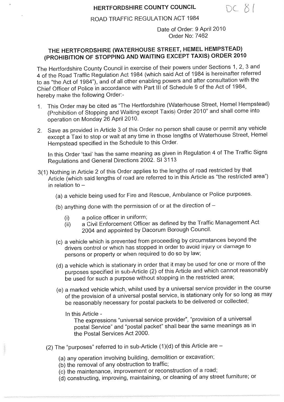### **HERTFORDSHIRE COUNTY COUNCIL**

DC 81

ROAD TRAFFIC REGULATION ACT 1984

**Date of Order:** 9 April 2010 **Order No: 7462**

## THE HERTFORDSHIRE (WATERHOUSE STREET, HEMEL HEMPSTEAD) (PROHIBITION OF STOPPING AND WAITING EXCEPT TAXIS) ORDER 2010

The Hertfordshire County Council in exercise of their powers under Sections 1, 2, 3 and 4 of the Road Traffic Regulation Act 1984 (which said Act of 1984 is hereinafter referred to as "the Act of 1984"), and of all other e Chief Officer of Police in accordance with Part III of Schedule 9 of the Act of 1984, hereby make the following Order:-

- 1. This Order may be cited as "The Hertfordshire (Waterhouse Street, Hemel Hempstead) (Prohibition of Stopping and Waiting except Taxis) Order 2010" and shall come into operation on Monday 26 April 2010.
- 2. Save as provided in Article 3 of this Order no person shall cause or permit any vehicle except a Taxi to stop or wait at any time in those lengths of Waterhouse Street, Hemel Hempstead specified in the Schedule to this Order.

In this Order 'taxi' has the same meaning as given in Regulation 4 of The Traffic Signs Regulations and General Directions 2002. SI 3113

- 3(1) Nothing in Article 2 of this Order applies to the lengths of road restricted by that Article (which said lengths of road are referred to in this Article as "the restricted area") in relation to  $-$ 
	- (a) a vehicle being used for Fire and Rescue, Ambulance or Police purposes.
	- (b) anything done with the permission of or at the direction of  $-$ 
		- (i) a police officer in uniform;
		- (ii) a Civil Enforcement Officer as defined by the Traffic Management Act 2004 and appointed by Dacorum Borough Council.
	- (c) a vehicle which is prevented from proceeding by circumstances beyond the drivers control or which has stopped in order to avoid injury or damage to persons or property or when required to do so by law;
	- (d) a vehicle which is stationary in order that it may be used for one or more of the purposes specified in sub-Article (2) of this Article and which cannot reasonably<br>be used for such a purpose without stopping in the restricted area;
	- (e) a marked vehicle which, whilst used by a universal service provider in the course<br>of the provision of a universal postal service, is stationary only for so long as may<br>be reasonably necessary for postal packets to be d
		-

In this Article -<br>The expressions "universal service provider", "provision of a universal postal Service" and "postal packet" shall bear the same meanings as in the Postal Services Act 2000.

- (2) The "purposes" referred to in sub-Article  $(1)(d)$  of this Article are  $-$ 
	- (a) any operation involving building, demolition or excavation;
	- (b) the removal of any obstruction to traffic;
	- (c) the maintenance, improvement or reconstruction of a road;
	- (d) constructing, improving, maintaining, or cleaning of any street furniture; or